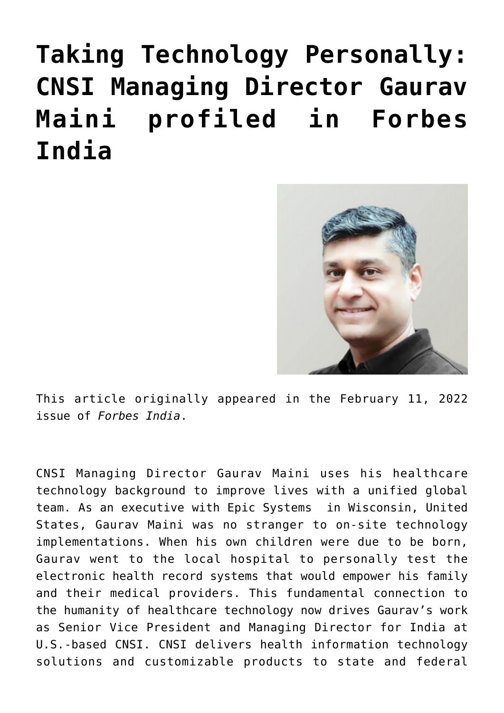## **[Taking Technology Personally:](https://www.cns-inc.com/insights/thought-leadership/taking-technology-personally-cnsi-managing-director-gaurav-maini-profiled-in-forbes-india/) [CNSI Managing Director Gaurav](https://www.cns-inc.com/insights/thought-leadership/taking-technology-personally-cnsi-managing-director-gaurav-maini-profiled-in-forbes-india/) [Maini profiled in Forbes](https://www.cns-inc.com/insights/thought-leadership/taking-technology-personally-cnsi-managing-director-gaurav-maini-profiled-in-forbes-india/) [India](https://www.cns-inc.com/insights/thought-leadership/taking-technology-personally-cnsi-managing-director-gaurav-maini-profiled-in-forbes-india/)**



This article originally appeared in the February 11, 2022 issue of *Forbes India*.

CNSI Managing Director Gaurav Maini uses his healthcare technology background to improve lives with a unified global team. As an executive with Epic Systems in Wisconsin, United States, Gaurav Maini was no stranger to on-site technology implementations. When his own children were due to be born, Gaurav went to the local hospital to personally test the electronic health record systems that would empower his family and their medical providers. This fundamental connection to the humanity of healthcare technology now drives Gaurav's work as Senior Vice President and Managing Director for India at U.S.-based CNSI. CNSI delivers health information technology solutions and customizable products to state and federal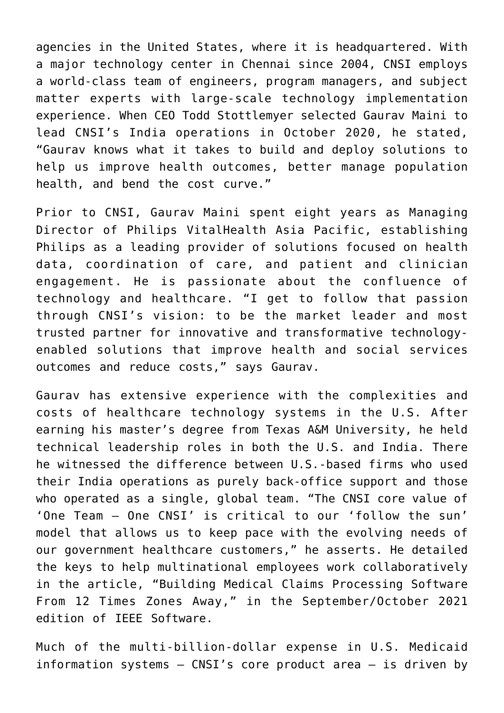agencies in the United States, where it is headquartered. With a major technology center in Chennai since 2004, CNSI employs a world-class team of engineers, program managers, and subject matter experts with large-scale technology implementation experience. When CEO Todd Stottlemyer selected Gaurav Maini to lead CNSI's India operations in October 2020, he stated, "Gaurav knows what it takes to build and deploy solutions to help us improve health outcomes, better manage population health, and bend the cost curve."

Prior to CNSI, Gaurav Maini spent eight years as Managing Director of Philips VitalHealth Asia Pacific, establishing Philips as a leading provider of solutions focused on health data, coordination of care, and patient and clinician engagement. He is passionate about the confluence of technology and healthcare. "I get to follow that passion through CNSI's vision: to be the market leader and most trusted partner for innovative and transformative technologyenabled solutions that improve health and social services outcomes and reduce costs," says Gaurav.

Gaurav has extensive experience with the complexities and costs of healthcare technology systems in the U.S. After earning his master's degree from Texas A&M University, he held technical leadership roles in both the U.S. and India. There he witnessed the difference between U.S.-based firms who used their India operations as purely back-office support and those who operated as a single, global team. "The CNSI core value of 'One Team – One CNSI' is critical to our 'follow the sun' model that allows us to keep pace with the evolving needs of our government healthcare customers," he asserts. He detailed the keys to help multinational employees work collaboratively in the article, "Building Medical Claims Processing Software From 12 Times Zones Away," in the September/October 2021 edition of IEEE Software.

Much of the multi-billion-dollar expense in U.S. Medicaid information systems – CNSI's core product area – is driven by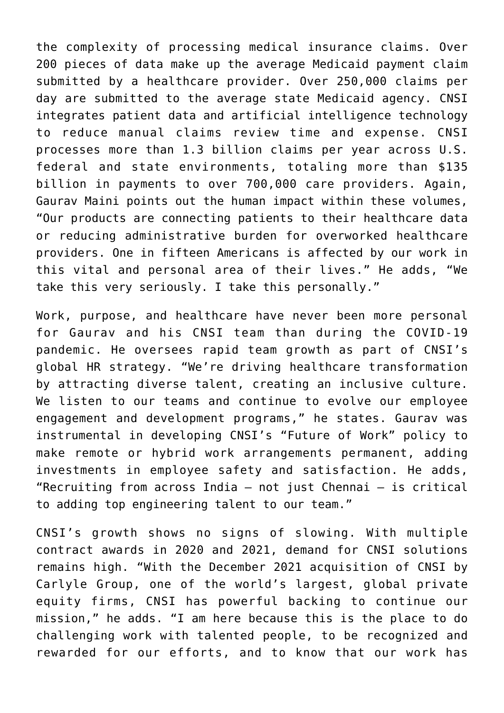the complexity of processing medical insurance claims. Over 200 pieces of data make up the average Medicaid payment claim submitted by a healthcare provider. Over 250,000 claims per day are submitted to the average state Medicaid agency. CNSI integrates patient data and artificial intelligence technology to reduce manual claims review time and expense. CNSI processes more than 1.3 billion claims per year across U.S. federal and state environments, totaling more than \$135 billion in payments to over 700,000 care providers. Again, Gaurav Maini points out the human impact within these volumes, "Our products are connecting patients to their healthcare data or reducing administrative burden for overworked healthcare providers. One in fifteen Americans is affected by our work in this vital and personal area of their lives." He adds, "We take this very seriously. I take this personally."

Work, purpose, and healthcare have never been more personal for Gaurav and his CNSI team than during the COVID-19 pandemic. He oversees rapid team growth as part of CNSI's global HR strategy. "We're driving healthcare transformation by attracting diverse talent, creating an inclusive culture. We listen to our teams and continue to evolve our employee engagement and development programs," he states. Gaurav was instrumental in developing CNSI's "Future of Work" policy to make remote or hybrid work arrangements permanent, adding investments in employee safety and satisfaction. He adds, "Recruiting from across India – not just Chennai – is critical to adding top engineering talent to our team."

CNSI's growth shows no signs of slowing. With multiple contract awards in 2020 and 2021, demand for CNSI solutions remains high. "With the December 2021 acquisition of CNSI by Carlyle Group, one of the world's largest, global private equity firms, CNSI has powerful backing to continue our mission," he adds. "I am here because this is the place to do challenging work with talented people, to be recognized and rewarded for our efforts, and to know that our work has